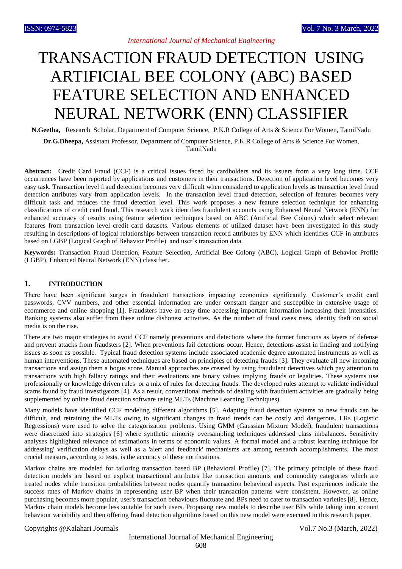# TRANSACTION FRAUD DETECTION USING ARTIFICIAL BEE COLONY (ABC) BASED FEATURE SELECTION AND ENHANCED NEURAL NETWORK (ENN) CLASSIFIER

**N.Geetha,** Research Scholar, Department of Computer Science, P.K.R College of Arts & Science For Women, TamilNadu

**Dr.G.Dheepa,** Assistant Professor, Department of Computer Science, P.K.R College of Arts & Science For Women, TamilNadu

**Abstract:** Credit Card Fraud (CCF) is a critical issues faced by cardholders and its issuers from a very long time. CCF occurrences have been reported by applications and customers in their transactions. Detection of application level becomes very easy task. Transaction level fraud detection becomes very difficult when considered to application levels as transaction level fraud detection attributes vary from application levels. In the transaction level fraud detection, selection of features becomes very difficult task and reduces the fraud detection level. This work proposes a new feature selection technique for enhancing classifications of credit card fraud. This research work identifies fraudulent accounts using Enhanced Neural Network (ENN) for enhanced accuracy of results using feature selection techniques based on ABC (Artificial Bee Colony) which select relevant features from transaction level credit card datasets. Various elements of utilized dataset have been investigated in this study resulting in descriptions of logical relationships between transaction record attributes by ENN which identifies CCF in attributes based on LGBP (Logical Graph of Behavior Profile) and user's transaction data.

**Keywords:** Transaction Fraud Detection, Feature Selection, Artificial Bee Colony (ABC), Logical Graph of Behavior Profile (LGBP), Enhanced Neural Network (ENN) classifier.

# **1. INTRODUCTION**

There have been significant surges in fraudulent transactions impacting economies significantly. Customer's credit card passwords, CVV numbers, and other essential information are under constant danger and susceptible in extensive usage of ecommerce and online shopping [1]. Fraudsters have an easy time accessing important information increasing their intensities. Banking systems also suffer from these online dishonest activities. As the number of fraud cases rises, identity theft on social media is on the rise.

There are two major strategies to avoid CCF namely preventions and detections where the former functions as layers of defense and prevent attacks from fraudsters [2]. When preventions fail detections occur. Hence, detections assist in finding and notifying issues as soon as possible. Typical fraud detection systems include associated academic degree automated instruments as well as human interventions. These automated techniques are based on principles of detecting frauds [3]. They evaluate all new incoming transactions and assign them a bogus score. Manual approaches are created by using fraudulent detectives which pay attention to transactions with high fallacy ratings and their evaluations are binary values implying frauds or legalities. These systems use professionally or knowledge driven rules or a mix of rules for detecting frauds. The developed rules attempt to validate individual scams found by fraud investigators [4]. As a result, conventional methods of dealing with fraudulent activities are gradually being supplemented by online fraud detection software using MLTs (Machine Learning Techniques).

Many models have identified CCF modeling different algorithms [5]. Adapting fraud detection systems to new frauds can be difficult, and retraining the MLTs owing to significant changes in fraud trends can be costly and dangerous. LRs (Logistic Regressions) were used to solve the categorization problems. Using GMM (Gaussian Mixture Model), fraudulent transactions were discretized into strategies [6] where synthetic minority oversampling techniques addressed class imbalances. Sensitivity analyses highlighted relevance of estimations in terms of economic values. A formal model and a robust learning technique for addressing' verification delays as well as a 'alert and feedback' mechanisms are among research accomplishments. The most crucial measure, according to tests, is the accuracy of these notifications.

Markov chains are modeled for tailoring transaction based BP (Behavioral Profile) [7]. The primary principle of these fraud detection models are based on explicit transactional attributes like transaction amounts and commodity categories which are treated nodes while transition probabilities between nodes quantify transaction behavioral aspects. Past experiences indicate the success rates of Markov chains in representing user BP when their transaction patterns were consistent. However, as online purchasing becomes more popular, user's transaction behaviours fluctuate and BPs need to cater to transaction varieties [8]. Hence, Markov chain models become less suitable for such users. Proposing new models to describe user BPs while taking into account behaviour variability and then offering fraud detection algorithms based on this new model were executed in this research paper.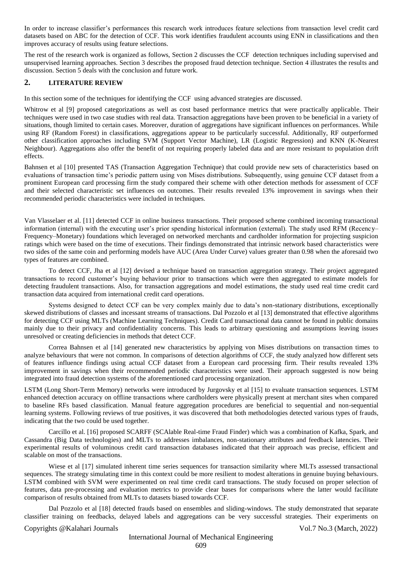In order to increase classifier's performances this research work introduces feature selections from transaction level credit card datasets based on ABC for the detection of CCF. This work identifies fraudulent accounts using ENN in classifications and then improves accuracy of results using feature selections.

The rest of the research work is organized as follows, Section 2 discusses the CCF detection techniques including supervised and unsupervised learning approaches. Section 3 describes the proposed fraud detection technique. Section 4 illustrates the results and discussion. Section 5 deals with the conclusion and future work.

# **2. LITERATURE REVIEW**

In this section some of the techniques for identifying the CCF using advanced strategies are discussed.

Whitrow et al [9] proposed categorizations as well as cost based performance metrics that were practically applicable. Their techniques were used in two case studies with real data. Transaction aggregations have been proven to be beneficial in a variety of situations, though limited to certain cases. Moreover, duration of aggregations have significant influences on performances. While using RF (Random Forest) in classifications, aggregations appear to be particularly successful. Additionally, RF outperformed other classification approaches including SVM (Support Vector Machine), LR (Logistic Regression) and KNN (K-Nearest Neighbour). Aggregations also offer the benefit of not requiring properly labeled data and are more resistant to population drift effects.

Bahnsen et al [10] presented TAS (Transaction Aggregation Technique) that could provide new sets of characteristics based on evaluations of transaction time's periodic pattern using von Mises distributions. Subsequently, using genuine CCF dataset from a prominent European card processing firm the study compared their scheme with other detection methods for assessment of CCF and their selected characteristic set influences on outcomes. Their results revealed 13% improvement in savings when their recommended periodic characteristics were included in techniques.

Van Vlasselaer et al. [11] detected CCF in online business transactions. Their proposed scheme combined incoming transactional information (internal) with the executing user's prior spending historical information (external). The study used RFM (Recency– Frequency–Monetary) foundations which leveraged on networked merchants and cardholder information for projecting suspicion ratings which were based on the time of executions. Their findings demonstrated that intrinsic network based characteristics were two sides of the same coin and performing models have AUC (Area Under Curve) values greater than 0.98 when the aforesaid two types of features are combined.

To detect CCF, Jha et al [12] devised a technique based on transaction aggregation strategy. Their project aggregated transactions to record customer's buying behaviour prior to transactions which were then aggregated to estimate models for detecting fraudulent transactions. Also, for transaction aggregations and model estimations, the study used real time credit card transaction data acquired from international credit card operations.

Systems designed to detect CCF can be very complex mainly due to data's non-stationary distributions, exceptionally skewed distributions of classes and incessant streams of transactions. Dal Pozzolo et al [13] demonstrated that effective algorithms for detecting CCF using MLTs (Machine Learning Techniques). Credit Card transactional data cannot be found in public domains mainly due to their privacy and confidentiality concerns. This leads to arbitrary questioning and assumptions leaving issues unresolved or creating deficiencies in methods that detect CCF.

Correa Bahnsen et al [14] generated new characteristics by applying von Mises distributions on transaction times to analyze behaviours that were not common. In comparisons of detection algorithms of CCF, the study analyzed how different sets of features influence findings using actual CCF dataset from a European card processing firm. Their results revealed 13% improvement in savings when their recommended periodic characteristics were used. Their approach suggested is now being integrated into fraud detection systems of the aforementioned card processing organization.

LSTM (Long Short-Term Memory) networks were introduced by Jurgovsky et al [15] to evaluate transaction sequences. LSTM enhanced detection accuracy on offline transactions where cardholders were physically present at merchant sites when compared to baseline RFs based classification. Manual feature aggregation procedures are beneficial to sequential and non-sequential learning systems. Following reviews of true positives, it was discovered that both methodologies detected various types of frauds, indicating that the two could be used together.

Carcillo et al. [16] proposed SCARFF (SCAlable Real-time Fraud Finder) which was a combination of Kafka, Spark, and Cassandra (Big Data technologies) and MLTs to addresses imbalances, non-stationary attributes and feedback latencies. Their experimental results of voluminous credit card transaction databases indicated that their approach was precise, efficient and scalable on most of the transactions.

Wiese et al [17] simulated inherent time series sequences for transaction similarity where MLTs assessed transactional sequences. The strategy simulating time in this context could be more resilient to modest alterations in genuine buying behaviours. LSTM combined with SVM were experimented on real time credit card transactions. The study focused on proper selection of features, data pre-processing and evaluation metrics to provide clear bases for comparisons where the latter would facilitate comparison of results obtained from MLTs to datasets biased towards CCF.

Dal Pozzolo et al [18] detected frauds based on ensembles and sliding-windows. The study demonstrated that separate classifier training on feedbacks, delayed labels and aggregations can be very successful strategies. Their experiments on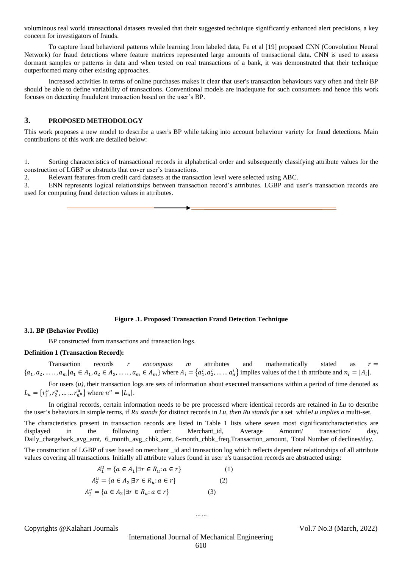voluminous real world transactional datasets revealed that their suggested technique significantly enhanced alert precisions, a key concern for investigators of frauds.

To capture fraud behavioral patterns while learning from labeled data, Fu et al [19] proposed CNN (Convolution Neural Network) for fraud detections where feature matrices represented large amounts of transactional data. CNN is used to assess dormant samples or patterns in data and when tested on real transactions of a bank, it was demonstrated that their technique outperformed many other existing approaches.

Increased activities in terms of online purchases makes it clear that user's transaction behaviours vary often and their BP should be able to define variability of transactions. Conventional models are inadequate for such consumers and hence this work focuses on detecting fraudulent transaction based on the user's BP.

# **3. PROPOSED METHODOLOGY**

This work proposes a new model to describe a user's BP while taking into account behaviour variety for fraud detections. Main contributions of this work are detailed below:

1. Sorting characteristics of transactional records in alphabetical order and subsequently classifying attribute values for the construction of LGBP or abstracts that cover user's transactions.

2. Relevant features from credit card datasets at the transaction level were selected using ABC.

3. ENN represents logical relationships between transaction record's attributes. LGBP and user's transaction records are used for computing fraud detection values in attributes.

> Artificial Bee Colony (ABC) based Enhanced Neural Network (ENN) and Logical Graph of BP (LGBP) Transaction Fraud Detection

#### **Figure .1. Proposed Transaction Fraud Detection Technique**

#### **3.1. BP (Behavior Profile)**

BP constructed from transactions and transaction logs.

#### **Definition 1 (Transaction Record):**

Transaction records *r* encompass *m* attributes and mathematically stated as  $r =$  $\{a_1, a_2, \ldots, a_m | a_1 \in A_1, a_2 \in A_2, \ldots, a_m \in A_m\}$  where  $A_i = \{a_1^i, a_2^i, \ldots, a_n^i\}$  implies values of the i th attribute and  $n_i = |A_i|$ .

For users  $(u)$ , their transaction logs are sets of information about executed transactions within a period of time denoted as  $L_u = \{r_1^u, r_2^u, \dots, r_{n^u}^u\}$  where  $n^u = |L_u|$ .

In original records, certain information needs to be pre processed where identical records are retained in *Lu* to describe the user's behaviors.In simple terms, if *Ru stands for* distinct records in *Lu, then Ru stands for* a set while*Lu implies a* multi-set.

The characteristics present in transaction records are listed in Table 1 lists where seven most significantcharacteristics are displayed in the following order: Merchant\_id, Average Amount/ transaction/ day, Daily\_chargeback\_avg\_amt, 6\_month\_avg\_chbk\_amt, 6-month\_chbk\_freq,Transaction\_amount, Total Number of declines/day.

The construction of LGBP of user based on merchant \_id and transaction log which reflects dependent relationships of all attribute values covering all transactions. Initially all attribute values found in user u's transaction records are abstracted using:

$$
A_1^u = \{ a \in A_1 | \exists r \in R_u : a \in r \}
$$
  
\n
$$
A_2^u = \{ a \in A_2 | \exists r \in R_u : a \in r \}
$$
  
\n(1)

$$
A_3^u = \{a \in A_2 | \exists r \in R_u : a \in r\}
$$
 (3)

Copyrights @Kalahari Journals Vol.7 No.3 (March, 2022)

International Journal of Mechanical Engineering 610

… …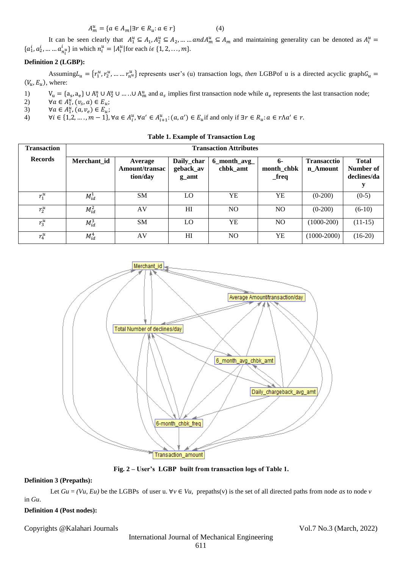$$
A_m^u = \{a \in A_m | \exists r \in R_u : a \in r\}
$$
 (4)

It can be seen clearly that  $A_1^u \subseteq A_1, A_2^u \subseteq A_2, \dots \dots \text{ and } A_m^u \subseteq A_m$  and maintaining generality can be denoted as  $A_i^u =$  $\{a_1^i, a_2^i, \dots, a_{n_i^u}^i\}$  in which  $n_i^u = |A_i^u|$  for each  $i \in \{1, 2, \dots, m\}$ .

# **Definition 2 (LGBP):**

Assuming  $L_u = \{r_1^u, r_2^u, \dots, r_{n^u}^u\}$  represents user's (u) transaction logs, then LGBPof u is a directed acyclic graph  $G_u$  $(V_u, E_u)$ , where:

- 1)  $V_u = \{a_s, a_e\} \cup A_1^u \cup A_2^u \cup ... \cup A_m^u$  and  $a_s$  implies first transaction node while  $a_e$  represents the last transaction node;
- 2)  $\forall a \in A_1^u, (v_s, a) \in E_u;$
- 3)  $\forall a \in A_1^u, (a, v_e) \in E_u;$
- 4)  $\forall i \in \{1,2,\ldots,m-1\}, \forall a \in A_i^u, \forall a' \in A_{i+1}^u: (a,a') \in E_u$  if and only if  $\exists r \in R_u: a \in r \land a' \in r$ .

| <b>Transaction</b> | <b>Transaction Attributes</b> |                                       |                                  |                             |                                     |                                |                                          |  |  |
|--------------------|-------------------------------|---------------------------------------|----------------------------------|-----------------------------|-------------------------------------|--------------------------------|------------------------------------------|--|--|
| <b>Records</b>     | Merchant id                   | Average<br>Amount/transac<br>tion/day | Daily_char<br>geback_av<br>g_amt | $6$ _month_avg_<br>chbk amt | 6-<br>month_chbk<br>$_{\rm -}$ freq | <b>Transacctio</b><br>n_Amount | <b>Total</b><br>Number of<br>declines/da |  |  |
| $r_1^u$            | $M^1_{id}$                    | <b>SM</b>                             | LO                               | YE                          | YE                                  | $(0-200)$                      | $(0-5)$                                  |  |  |
| $r_2^u$            | $M_{id}^2$                    | AV                                    | H                                | N <sub>O</sub>              | NO                                  | $(0-200)$                      | $(6-10)$                                 |  |  |
| $r_3^u$            | $M_{id}^3$                    | <b>SM</b>                             | LO                               | YE                          | N <sub>O</sub>                      | $(1000-200)$                   | $(11-15)$                                |  |  |
| $r_4^u$            | $M_{id}^4$                    | AV                                    | H                                | NO.                         | YE                                  | $(1000-2000)$                  | $(16-20)$                                |  |  |

**Table 1. Example of Transaction Log**



**Fig. 2 – User's LGBP built from transaction logs of Table 1.**

# **Definition 3 (Prepaths):**

Let  $Gu = (Vu, Eu)$  be the LGBPs of user u.  $\forall v \in Vu$ , prepaths(v) is the set of all directed paths from node *as* to node *v* in *Gu*.

## **Definition 4 (Post nodes):**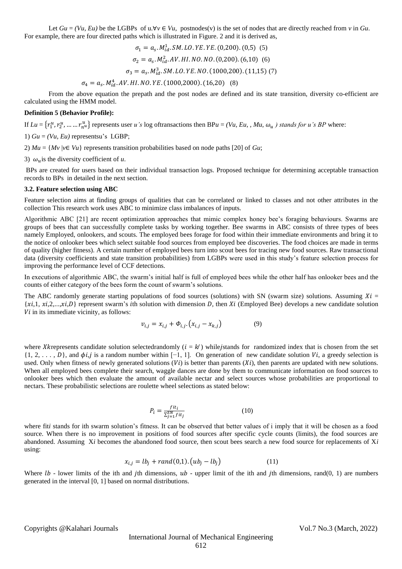Let  $Gu = (Vu, Eu)$  be the LGBPs of  $u, \forall v \in Vu$ , postnodes(v) is the set of nodes that are directly reached from *v* in  $Gu$ . For example, there are four directed paths which is illustrated in Figure. 2 and it is derived as,

$$
\sigma_1 = a_s. M_{id}^1. SM. LO. YE. YE. (0,200). (0,5) (5)
$$

$$
\sigma_2 = a_s. M_{id}^2. AV. HI. NO. NO. (0,200). (6,10) (6)
$$

$$
\sigma_3 = a_s. M_{id}^3. SM. LO. YE. NO. (1000,200). (11,15) (7)
$$

$$
\sigma_4 = a_s. M_{id}^4. AV. HI. NO. YE. (1000,2000). (16,20) (8)
$$

From the above equation the prepath and the post nodes are defined and its state transition, diversity co-efficient are calculated using the HMM model.

#### **Definition 5 (Behavior Profile):**

If  $Lu = \{r_1^u, r_2^u, \dots, r_{n^u}^u\}$  represents user *u*'s log oftransactions then BP*u* = *(Vu, Eu, , Mu,*  $\omega_u$ *) stands for u*'s *BP* where:

1)  $Gu = (Vu, Eu)$  representsu's LGBP;

2)  $Mu = \{Mv | v \in Vu\}$  represents transition probabilities based on node paths [20] of *Gu*;

3)  $\omega_{\nu}$  is the diversity coefficient of *u*.

BPs are created for users based on their individual transaction logs. Proposed technique for determining acceptable transaction records to BPs in detailed in the next section.

#### **3.2. Feature selection using ABC**

Feature selection aims at finding groups of qualities that can be correlated or linked to classes and not other attributes in the collection This research work uses ABC to minimize class imbalances of inputs.

Algorithmic ABC [21] are recent optimization approaches that mimic complex honey bee's foraging behaviours. Swarms are groups of bees that can successfully complete tasks by working together. Bee swarms in ABC consists of three types of bees namely Employed, onlookers, and scouts. The employed bees forage for food within their immediate environments and bring it to the notice of onlooker bees which select suitable food sources from employed bee discoveries. The food choices are made in terms of quality (higher fitness). A certain number of employed bees turn into scout bees for tracing new food sources. Raw transactional data (diversity coefficients and state transition probabilities) from LGBPs were used in this study's feature selection process for improving the performance level of CCF detections.

In executions of algorithmic ABC, the swarm's initial half is full of employed bees while the other half has onlooker bees and the counts of either category of the bees form the count of swarm's solutions.

The ABC randomly generate starting populations of food sources (solutions) with SN (swarm size) solutions. Assuming  $Xi =$  ${x_i,1, x_i,2,...,x_i,D}$  represent swarm's *i*th solution with dimension D, then Xi (Employed Bee) develops a new candidate solution  $Vi$  in its immediate vicinity, as follows:

$$
v_{i,j} = x_{i,j} + \Phi_{i,j} \cdot (x_{i,j} - x_{k,j})
$$
 (9)

where Xkrepresents candidate solution selectedrandomly ( $i = k$ ) while istands for randomized index that is chosen from the set  $\{1, 2, \ldots, D\}$ , and  $\phi i, j$  is a random number within [-1, 1]. On generation of new candidate solution Vi, a greedy selection is used. Only when fitness of newly generated solutions  $(Vi)$  is better than parents  $(Xi)$ , then parents are updated with new solutions. When all employed bees complete their search, waggle dances are done by them to communicate information on food sources to onlooker bees which then evaluate the amount of available nectar and select sources whose probabilities are proportional to nectars. These probabilistic selections are roulette wheel selections as stated below:

$$
P_i = \frac{fit_i}{\sum_{j=1}^{SN} fit_j}
$$
 (10)

where fit*i* stands for ith swarm solution's fitness. It can be observed that better values of *i* imply that it will be chosen as a food source. When there is no improvement in positions of food sources after specific cycle counts (limits), the food sources are abandoned. Assuming X*i* becomes the abandoned food source, then scout bees search a new food source for replacements of X*i*  using:

$$
x_{i,j} = lb_j + rand(0,1) \cdot (ub_j - lb_j)
$$
 (11)

Where  $lb$  - lower limits of the ith and jth dimensions,  $ub$  - upper limit of the ith and jth dimensions, rand(0, 1) are numbers generated in the interval [0, 1] based on normal distributions.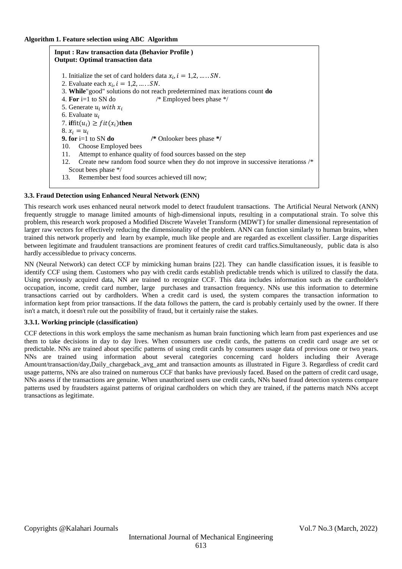| <b>Input: Raw transaction data (Behavior Profile)</b><br><b>Output: Optimal transaction data</b>                  |                                                                            |  |  |  |  |  |
|-------------------------------------------------------------------------------------------------------------------|----------------------------------------------------------------------------|--|--|--|--|--|
|                                                                                                                   | 1. Initialize the set of card holders data $x_i$ , $i = 1, 2, \dots, SN$ . |  |  |  |  |  |
| 2. Evaluate each $x_i$ , $i = 1,2,$ SN.                                                                           |                                                                            |  |  |  |  |  |
| 3. While" good" solutions do not reach predetermined max iterations count do                                      |                                                                            |  |  |  |  |  |
| 4. For $i=1$ to SN do<br>/* Employed bees phase $*/$                                                              |                                                                            |  |  |  |  |  |
| 5. Generate $u_i$ with $x_i$                                                                                      |                                                                            |  |  |  |  |  |
| 6. Evaluate $u_i$                                                                                                 |                                                                            |  |  |  |  |  |
| 7. if $fit(u_i) \geq fit(x_i)$ then                                                                               |                                                                            |  |  |  |  |  |
| 8. $x_i = u_i$                                                                                                    |                                                                            |  |  |  |  |  |
| 9. for $i=1$ to SN do                                                                                             | /* Onlooker bees phase */                                                  |  |  |  |  |  |
| 10. Choose Employed bees                                                                                          |                                                                            |  |  |  |  |  |
| Attempt to enhance quality of food sources bassed on the step<br>11.                                              |                                                                            |  |  |  |  |  |
| Create new random food source when they do not improve in successive iterationss /*<br>12.<br>Scout bees phase */ |                                                                            |  |  |  |  |  |
| 13.                                                                                                               | Remember best food sources achieved till now;                              |  |  |  |  |  |
|                                                                                                                   |                                                                            |  |  |  |  |  |

# **3.3. Fraud Detection using Enhanced Neural Network (ENN)**

This research work uses enhanced neural network model to detect fraudulent transactions. The Artificial Neural Network (ANN) frequently struggle to manage limited amounts of high-dimensional inputs, resulting in a computational strain. To solve this problem, this research work proposed a Modified Discrete Wavelet Transform (MDWT) for smaller dimensional representation of larger raw vectors for effectively reducing the dimensionality of the problem. ANN can function similarly to human brains, when trained this network properly and learn by example, much like people and are regarded as excellent classifier. Large disparities between legitimate and fraudulent transactions are prominent features of credit card traffics.Simultaneously, public data is also hardly accessibledue to privacy concerns.

NN (Neural Network) can detect CCF by mimicking human brains [22]. They can handle classification issues, it is feasible to identify CCF using them. Customers who pay with credit cards establish predictable trends which is utilized to classify the data. Using previously acquired data, NN are trained to recognize CCF. This data includes information such as the cardholder's occupation, income, credit card number, large purchases and transaction frequency. NNs use this information to determine transactions carried out by cardholders. When a credit card is used, the system compares the transaction information to information kept from prior transactions. If the data follows the pattern, the card is probably certainly used by the owner. If there isn't a match, it doesn't rule out the possibility of fraud, but it certainly raise the stakes.

## **3.3.1. Working principle (classification)**

CCF detections in this work employs the same mechanism as human brain functioning which learn from past experiences and use them to take decisions in day to day lives. When consumers use credit cards, the patterns on credit card usage are set or predictable. NNs are trained about specific patterns of using credit cards by consumers usage data of previous one or two years. NNs are trained using information about several categories concerning card holders including their Average Amount/transaction/day,Daily\_chargeback\_avg\_amt and transaction amounts as illustrated in Figure 3. Regardless of credit card usage patterns, NNs are also trained on numerous CCF that banks have previously faced. Based on the pattern of credit card usage, NNs assess if the transactions are genuine. When unauthorized users use credit cards, NNs based fraud detection systems compare patterns used by fraudsters against patterns of original cardholders on which they are trained, if the patterns match NNs accept transactions as legitimate.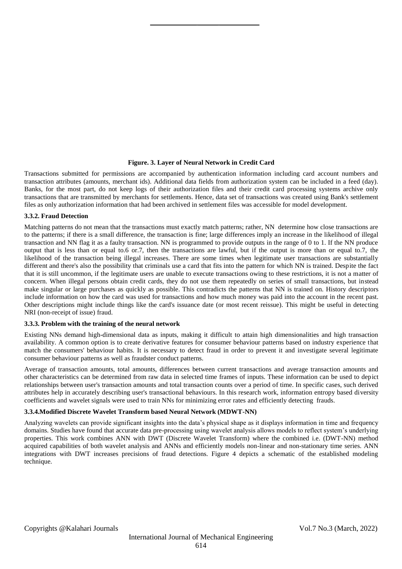#### **Figure. 3. Layer of Neural Network in Credit Card**

Transactions submitted for permissions are accompanied by authentication information including card account numbers and transaction attributes (amounts, merchant ids). Additional data fields from authorization system can be included in a feed (day). Banks, for the most part, do not keep logs of their authorization files and their credit card processing systems archive only transactions that are transmitted by merchants for settlements. Hence, data set of transactions was created using Bank's settlement files as only authorization information that had been archived in settlement files was accessible for model development.

#### **3.3.2. Fraud Detection**

Matching patterns do not mean that the transactions must exactly match patterns; rather, NN determine how close transactions are to the patterns; if there is a small difference, the transaction is fine; large differences imply an increase in the likelihood of illegal transaction and NN flag it as a faulty transaction. NN is programmed to provide outputs in the range of 0 to 1. If the NN produce output that is less than or equal to.6 or.7, then the transactions are lawful, but if the output is more than or equal to.7, the likelihood of the transaction being illegal increases. There are some times when legitimate user transactions are substantially different and there's also the possibility that criminals use a card that fits into the pattern for which NN is trained. Despite the fact that it is still uncommon, if the legitimate users are unable to execute transactions owing to these restrictions, it is not a matter of concern. When illegal persons obtain credit cards, they do not use them repeatedly on series of small transactions, but instead make singular or large purchases as quickly as possible. This contradicts the patterns that NN is trained on. History descriptors include information on how the card was used for transactions and how much money was paid into the account in the recent past. Other descriptions might include things like the card's issuance date (or most recent reissue). This might be useful in detecting NRI (non-receipt of issue) fraud.

## **3.3.3. Problem with the training of the neural network**

Existing NNs demand high-dimensional data as inputs, making it difficult to attain high dimensionalities and high transaction availability. A common option is to create derivative features for consumer behaviour patterns based on industry experience that match the consumers' behaviour habits. It is necessary to detect fraud in order to prevent it and investigate several legitimate consumer behaviour patterns as well as fraudster conduct patterns.

Average of transaction amounts, total amounts, differences between current transactions and average transaction amounts and other characteristics can be determined from raw data in selected time frames of inputs. These information can be used to depict relationships between user's transaction amounts and total transaction counts over a period of time. In specific cases, such derived attributes help in accurately describing user's transactional behaviours. In this research work, information entropy based diversity coefficients and wavelet signals were used to train NNs for minimizing error rates and efficiently detecting frauds.

#### **3.3.4.Modified Discrete Wavelet Transform based Neural Network (MDWT-NN)**

Analyzing wavelets can provide significant insights into the data's physical shape as it displays information in time and frequency domains. Studies have found that accurate data pre-processing using wavelet analysis allows models to reflect system's underlying properties. This work combines ANN with DWT (Discrete Wavelet Transform) where the combined i.e. (DWT-NN) method acquired capabilities of both wavelet analysis and ANNs and efficiently models non-linear and non-stationary time series. ANN integrations with DWT increases precisions of fraud detections. Figure 4 depicts a schematic of the established modeling technique.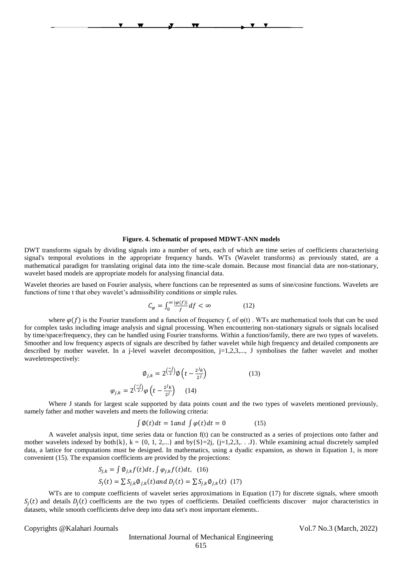#### **Figure. 4. Schematic of proposed MDWT-ANN models**

Hidden layer Output layer Input layer OSX00Modified Discrete Wavelet Transform 0Artificial Neural Network (ANN) Information entropy VU00E<sup>0</sup> Extracted W<sup>01</sup> Features -based diversity coefficient OSXE<sup>1111</sup> UV<sup>1</sup> <sup>1</sup> W(MDWT)<sup>12</sup> E<sup>2</sup> XOS222U2V<sup>2</sup> To optimize S<sup>0</sup> S<sup>1</sup> S<sup>2</sup>

 $\overline{\mathbf{v}}$ 

 $\overline{\mathbf{y}}$ 

DWT transforms signals by dividing signals into a number of sets, each of which are time series of coefficients characterising signal's temporal evolutions in the appropriate frequency bands. WTs (Wavelet transforms) as previously stated, are a mathematical paradigm for translating original data into the time-scale domain. Because most financial data are non-stationary, wavelet based models are appropriate models for analysing financial data.

Wavelet theories are based on Fourier analysis, where functions can be represented as sums of sine/cosine functions. Wavelets are functions of time t that obey wavelet's admissibility conditions or simple rules.

$$
C_{\varphi} = \int_0^{\infty} \frac{|\varphi(f)|}{f} df < \infty \tag{12}
$$

where  $\varphi(f)$  is the Fourier transform and a function of frequency f, of  $\varphi(t)$ . WTs are mathematical tools that can be used for complex tasks including image analysis and signal processing. When encountering non-stationary signals or signals localised by time/space/frequency, they can be handled using Fourier transforms. Within a function/family, there are two types of wavelets. Smoother and low frequency aspects of signals are described by father wavelet while high frequency and detailed components are described by mother wavelet. In a j-level wavelet decomposition,  $j=1,2,3,..., J$  symbolises the father wavelet and mother waveletrespectively:

$$
\phi_{j,k} = 2^{\left(\frac{-j}{2}\right)} \phi \left(t - \frac{2^j k}{2^j}\right) \tag{13}
$$
\n
$$
\varphi_{j,k} = 2^{\left(\frac{-j}{2}\right)} \phi \left(t - \frac{2^j k}{2^j}\right) \tag{14}
$$

Where J stands for largest scale supported by data points count and the two types of wavelets mentioned previously, namely father and mother wavelets and meets the following criteria:

$$
\int \varphi(t)dt = 1 \text{ and } \int \varphi(t)dt = 0 \tag{15}
$$

A wavelet analysis input, time series data or function f(t) can be constructed as a series of projections onto father and mother wavelets indexed by both $\{k\}$ ,  $k = \{0, 1, 2,...\}$  and by $\{S\} = 2j$ ,  $\{j=1, 2, 3,...\}$ . While examining actual discretely sampled data, a lattice for computations must be designed. In mathematics, using a dyadic expansion, as shown in Equation 1, is more convenient (15). The expansion coefficients are provided by the projections:

$$
S_{j,k} = \int \emptyset_{j,k} f(t) dt, \int \varphi_{j,k} f(t) dt, (16)
$$
  

$$
S_j(t) = \sum S_{j,k} \emptyset_{j,k}(t) and D_j(t) = \sum S_{j,k} \emptyset_{j,k}(t) (17)
$$

WTs are to compute coefficients of wavelet series approximations in Equation (17) for discrete signals, where smooth  $S_j(t)$  and details  $D_j(t)$  coefficients are the two types of coefficients. Detailed coefficients discover major characteristics in datasets, while smooth coefficients delve deep into data set's most important elements..

Copyrights @Kalahari Journals Vol.7 No.3 (March, 2022)

International Journal of Mechanical Engineering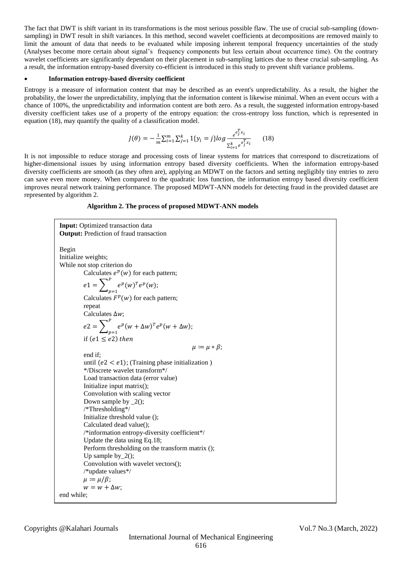The fact that DWT is shift variant in its transformations is the most serious possible flaw. The use of crucial sub-sampling (downsampling) in DWT result in shift variances. In this method, second wavelet coefficients at decompositions are removed mainly to limit the amount of data that needs to be evaluated while imposing inherent temporal frequency uncertainties of the study (Analyses become more certain about signal's frequency components but less certain about occurrence time). On the contrary wavelet coefficients are significantly dependant on their placement in sub-sampling lattices due to these crucial sub-sampling. As a result, the information entropy-based diversity co-efficient is introduced in this study to prevent shift variance problems.

### **Information entropy-based diversity coefficient**

Entropy is a measure of information content that may be described as an event's unpredictability. As a result, the higher the probability, the lower the unpredictability, implying that the information content is likewise minimal. When an event occurs with a chance of 100%, the unpredictability and information content are both zero. As a result, the suggested information entropy-based diversity coefficient takes use of a property of the entropy equation: the cross-entropy loss function, which is represented in equation (18), may quantify the quality of a classification model.

$$
J(\theta) = -\frac{1}{m} \sum_{i=1}^{m} \sum_{j=1}^{k} 1\{y_i = j\} \log \frac{e^{\epsilon_j^T x_i}}{\sum_{i=1}^{k} e^{\epsilon_j^T x_i}}
$$
(18)

It is not impossible to reduce storage and processing costs of linear systems for matrices that correspond to discretizations of higher-dimensional issues by using information entropy based diversity coefficients. When the information entropy-based diversity coefficients are smooth (as they often are), applying an MDWT on the factors and setting negligibly tiny entries to zero can save even more money. When compared to the quadratic loss function, the information entropy based diversity coefficient improves neural network training performance. The proposed MDWT-ANN models for detecting fraud in the provided dataset are represented by algorithm 2.

#### **Algorithm 2. The process of proposed MDWT-ANN models**

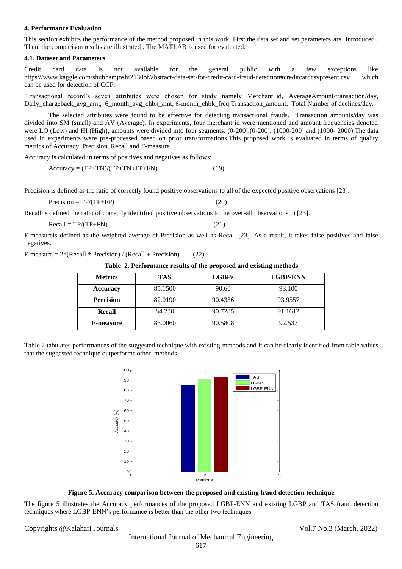#### **4. Performance Evaluation**

This section exhibits the performance of the method proposed in this work. First,the data set and set parameters are introduced . Then, the comparison results are illustrated . The MATLAB is used for evaluated.

#### **4.1. Dataset and Parameters**

Credit card data is not available for the general public with a few exceptions like <https://www.kaggle.com/shubhamjoshi2130of/abstract-data-set-for-credit-card-fraud-detection#creditcardcsvpresent.csv> which can be used for detection of CCF.

Transactional record's seven attributes were chosen for study namely Merchant\_id, AverageAmount/transaction/day, Daily chargeback avg\_amt, 6\_month\_avg\_chbk\_amt, 6-month\_chbk\_freq,Transaction\_amount, Total Number of declines/day.

The selected attributes were found to be effective for detecting transactional frauds. Transaction amounts/day was divided into SM (small) and AV (Average). In experiments, four merchant id were mentioned and amount frequencies denoted were LO (Low) and HI (High), amounts were divided into four segments: (0-200],(0-200], (1000-200] and (1000- 2000).The data used in experiments were pre-processed based on prior transformations.This proposed work is evaluated in terms of quality metrics of Accuracy, Precision ,Recall and F-measure.

Accuracy is calculated in terms of positives and negatives as follows:

 $Accuracy = (TP+TN)/(TP+TN+FP+FN)$  (19)

Precision is defined as the ratio of correctly found positive observations to all of the expected positive observations [23].

$$
Precision = TP/(TP + FP)
$$
 (20)

Recall is defined the ratio of correctly identified positive observations to the over-all observations in [23].

 $Recall = TP/(TP+FN)$  (21)

F-measureis defined as the weighted average of Precision as well as Recall [23]. As a result, it takes false positives and false negatives.

F-measure  $= 2*(Recall * Precision) / (Recall + Precision)$  (22)

**Table 2. Performance results of the proposed and existing methods**

| <b>Metrics</b>   | TAS     | <b>LGBPs</b> | <b>LGBP-ENN</b> |
|------------------|---------|--------------|-----------------|
| Accuracy         | 85.1500 | 90.60        | 93.100          |
| <b>Precision</b> | 82.0190 | 90.4336      | 93.9557         |
| Recall           | 84.230  | 90.7285      | 91.1612         |
| <b>F-measure</b> | 83.0060 | 90.5808      | 92.537          |

Table 2 tabulates performances of the suggested technique with existing methods and it can be clearly identified from table values that the suggested technique outperforms other methods.



**Figure 5. Accuracy comparison between the proposed and existing fraud detection technique**

The figure 5 illustrates the Accuracy performances of the proposed LGBP-ENN and existing LGBP and TAS fraud detection techniques where LGBP-ENN's performance is better than the other two techniques.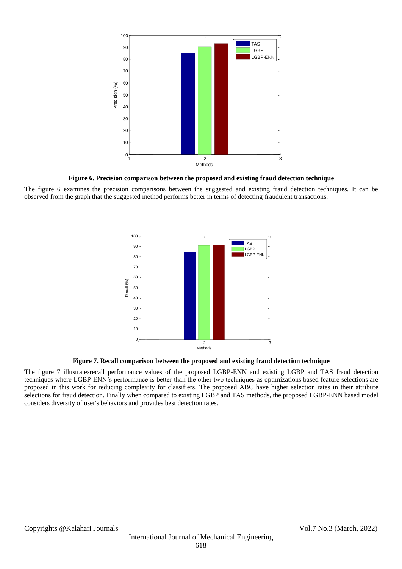

**Figure 6. Precision comparison between the proposed and existing fraud detection technique**

The figure 6 examines the precision comparisons between the suggested and existing fraud detection techniques. It can be observed from the graph that the suggested method performs better in terms of detecting fraudulent transactions.



**Figure 7. Recall comparison between the proposed and existing fraud detection technique**

The figure 7 illustratesrecall performance values of the proposed LGBP-ENN and existing LGBP and TAS fraud detection techniques where LGBP-ENN's performance is better than the other two techniques as optimizations based feature selections are proposed in this work for reducing complexity for classifiers. The proposed ABC have higher selection rates in their attribute selections for fraud detection. Finally when compared to existing LGBP and TAS methods, the proposed LGBP-ENN based model considers diversity of user's behaviors and provides best detection rates.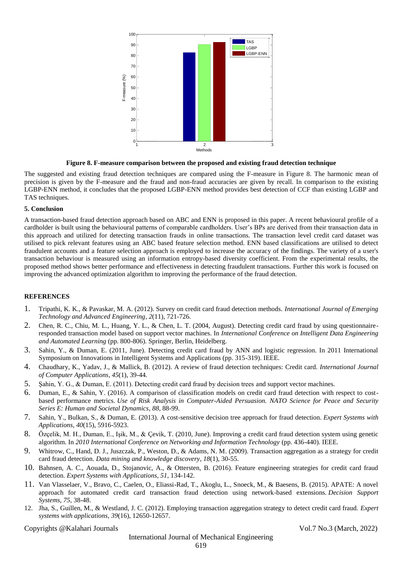

**Figure 8. F-measure comparison between the proposed and existing fraud detection technique**

The suggested and existing fraud detection techniques are compared using the F-measure in Figure 8. The harmonic mean of precision is given by the F-measure and the fraud and non-fraud accuracies are given by recall. In comparison to the existing LGBP-ENN method, it concludes that the proposed LGBP-ENN method provides best detection of CCF than existing LGBP and TAS techniques.

## **5. Conclusion**

A transaction-based fraud detection approach based on ABC and ENN is proposed in this paper. A recent behavioural profile of a cardholder is built using the behavioural patterns of comparable cardholders. User's BPs are derived from their transaction data in this approach and utilized for detecting transaction frauds in online transactions. The transaction level credit card dataset was utilised to pick relevant features using an ABC based feature selection method. ENN based classifications are utilised to detect fraudulent accounts and a feature selection approach is employed to increase the accuracy of the findings. The variety of a user's transaction behaviour is measured using an information entropy-based diversity coefficient. From the experimental results, the proposed method shows better performance and effectiveness in detecting fraudulent transactions. Further this work is focused on improving the advanced optimization algorithm to improving the performance of the fraud detection.

# **REFERENCES**

- 1. Tripathi, K. K., & Pavaskar, M. A. (2012). Survey on credit card fraud detection methods. *International Journal of Emerging Technology and Advanced Engineering*, *2*(11), 721-726.
- 2. Chen, R. C., Chiu, M. L., Huang, Y. L., & Chen, L. T. (2004, August). Detecting credit card fraud by using questionnaireresponded transaction model based on support vector machines. In *International Conference on Intelligent Data Engineering and Automated Learning* (pp. 800-806). Springer, Berlin, Heidelberg.
- 3. Sahin, Y., & Duman, E. (2011, June). Detecting credit card fraud by ANN and logistic regression. In 2011 International Symposium on Innovations in Intelligent Systems and Applications (pp. 315-319). IEEE.
- 4. Chaudhary, K., Yadav, J., & Mallick, B. (2012). A review of fraud detection techniques: Credit card. *International Journal of Computer Applications*, *45*(1), 39-44.
- 5. Şahin, Y. G., & Duman, E. (2011). Detecting credit card fraud by decision trees and support vector machines.
- 6. Duman, E., & Sahin, Y. (2016). A comparison of classification models on credit card fraud detection with respect to costbased performance metrics. *Use of Risk Analysis in Computer-Aided Persuasion. NATO Science for Peace and Security Series E: Human and Societal Dynamics*, *88*, 88-99.
- 7. Sahin, Y., Bulkan, S., & Duman, E. (2013). A cost-sensitive decision tree approach for fraud detection. *Expert Systems with Applications*, *40*(15), 5916-5923.
- 8. Özçelik, M. H., Duman, E., Işik, M., & Çevik, T. (2010, June). Improving a credit card fraud detection system using genetic algorithm. In *2010 International Conference on Networking and Information Technology* (pp. 436-440). IEEE.
- 9. Whitrow, C., Hand, D. J., Juszczak, P., Weston, D., & Adams, N. M. (2009). Transaction aggregation as a strategy for credit card fraud detection. *Data mining and knowledge discovery*, *18*(1), 30-55.
- 10. Bahnsen, A. C., Aouada, D., Stojanovic, A., & Ottersten, B. (2016). Feature engineering strategies for credit card fraud detection. *Expert Systems with Applications*, *51*, 134-142.
- 11. Van Vlasselaer, V., Bravo, C., Caelen, O., Eliassi-Rad, T., Akoglu, L., Snoeck, M., & Baesens, B. (2015). APATE: A novel approach for automated credit card transaction fraud detection using network-based extensions. *Decision Support Systems*, *75*, 38-48.
- 12. Jha, S., Guillen, M., & Westland, J. C. (2012). Employing transaction aggregation strategy to detect credit card fraud. *Expert systems with applications*, *39*(16), 12650-12657.